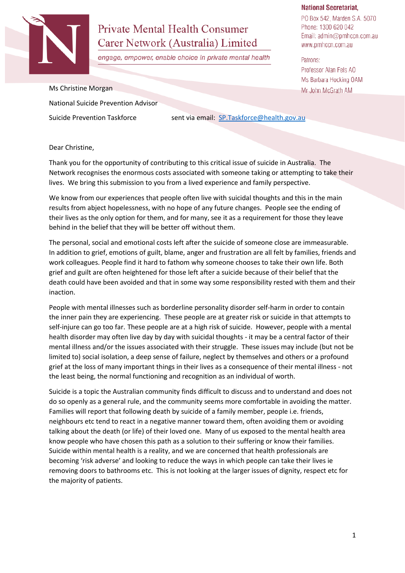

# **Private Mental Health Consumer** Carer Network (Australia) Limited

engage, empower, enable choice in private mental health

#### **National Secretariat,**

PO Box 542, Marden S.A. 5070 Phone: 1300 620 042 Email: admin@pmhccn.com.au www.pmhccn.com.au

Patrons: Professor Alan Fels AO Ms Barbara Hocking OAM Mr John McGrath AM

#### Ms Christine Morgan

National Suicide Prevention Advisor

Suicide Prevention Taskforce sent via email: [SP.Taskforce@health.gov.au](mailto:SP.Taskforce@health.gov.au)

#### Dear Christine,

Thank you for the opportunity of contributing to this critical issue of suicide in Australia. The Network recognises the enormous costs associated with someone taking or attempting to take their lives. We bring this submission to you from a lived experience and family perspective.

We know from our experiences that people often live with suicidal thoughts and this in the main results from abject hopelessness, with no hope of any future changes. People see the ending of their lives as the only option for them, and for many, see it as a requirement for those they leave behind in the belief that they will be better off without them.

The personal, social and emotional costs left after the suicide of someone close are immeasurable. In addition to grief, emotions of guilt, blame, anger and frustration are all felt by families, friends and work colleagues. People find it hard to fathom why someone chooses to take their own life. Both grief and guilt are often heightened for those left after a suicide because of their belief that the death could have been avoided and that in some way some responsibility rested with them and their inaction.

People with mental illnesses such as borderline personality disorder self-harm in order to contain the inner pain they are experiencing. These people are at greater risk or suicide in that attempts to self-injure can go too far. These people are at a high risk of suicide. However, people with a mental health disorder may often live day by day with suicidal thoughts - it may be a central factor of their mental illness and/or the issues associated with their struggle. These issues may include (but not be limited to) social isolation, a deep sense of failure, neglect by themselves and others or a profound grief at the loss of many important things in their lives as a consequence of their mental illness - not the least being, the normal functioning and recognition as an individual of worth.

Suicide is a topic the Australian community finds difficult to discuss and to understand and does not do so openly as a general rule, and the community seems more comfortable in avoiding the matter. Families will report that following death by suicide of a family member, people i.e. friends, neighbours etc tend to react in a negative manner toward them, often avoiding them or avoiding talking about the death (or life) of their loved one. Many of us exposed to the mental health area know people who have chosen this path as a solution to their suffering or know their families. Suicide within mental health is a reality, and we are concerned that health professionals are becoming 'risk adverse' and looking to reduce the ways in which people can take their lives ie removing doors to bathrooms etc. This is not looking at the larger issues of dignity, respect etc for the majority of patients.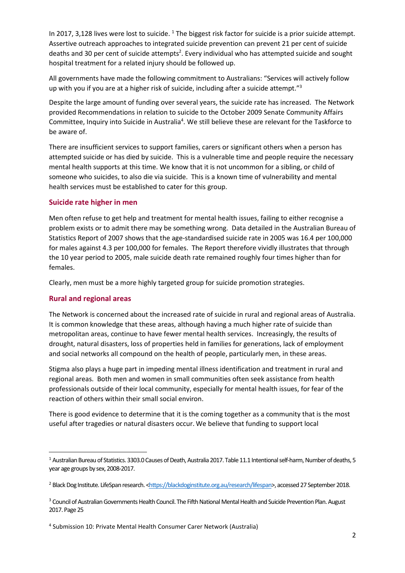In 2017, 3,128 lives were lost to suicide. <sup>1</sup> The biggest risk factor for suicide is a prior suicide attempt. Assertive outreach approaches to integrated suicide prevention can prevent 21 per cent of suicide deaths and 30 per cent of suicide attempts<sup>2</sup>. Every individual who has attempted suicide and sought hospital treatment for a related injury should be followed up.

All governments have made the following commitment to Australians: "Services will actively follow up with you if you are at a higher risk of suicide, including after a suicide attempt." $3$ 

Despite the large amount of funding over several years, the suicide rate has increased. The Network provided Recommendations in relation to suicide to the October 2009 Senate Community Affairs Committee, Inquiry into Suicide in Australia<sup>4</sup>. We still believe these are relevant for the Taskforce to be aware of.

There are insufficient services to support families, carers or significant others when a person has attempted suicide or has died by suicide. This is a vulnerable time and people require the necessary mental health supports at this time. We know that it is not uncommon for a sibling, or child of someone who suicides, to also die via suicide. This is a known time of vulnerability and mental health services must be established to cater for this group.

## **Suicide rate higher in men**

Men often refuse to get help and treatment for mental health issues, failing to either recognise a problem exists or to admit there may be something wrong. Data detailed in the Australian Bureau of Statistics Report of 2007 shows that the age-standardised suicide rate in 2005 was 16.4 per 100,000 for males against 4.3 per 100,000 for females. The Report therefore vividly illustrates that through the 10 year period to 2005, male suicide death rate remained roughly four times higher than for females.

Clearly, men must be a more highly targeted group for suicide promotion strategies.

## **Rural and regional areas**

The Network is concerned about the increased rate of suicide in rural and regional areas of Australia. It is common knowledge that these areas, although having a much higher rate of suicide than metropolitan areas, continue to have fewer mental health services. Increasingly, the results of drought, natural disasters, loss of properties held in families for generations, lack of employment and social networks all compound on the health of people, particularly men, in these areas.

Stigma also plays a huge part in impeding mental illness identification and treatment in rural and regional areas. Both men and women in small communities often seek assistance from health professionals outside of their local community, especially for mental health issues, for fear of the reaction of others within their small social environ.

There is good evidence to determine that it is the coming together as a community that is the most useful after tragedies or natural disasters occur. We believe that funding to support local

<sup>1</sup> Australian Bureau of Statistics. 3303.0 Causes of Death, Australia 2017. Table 11.1 Intentional self-harm, Number of deaths, 5 year age groups by sex, 2008-2017.

<sup>2</sup> Black Dog Institute. LifeSpan research. [<https://blackdoginstitute.org.au/research/lifespan>](https://blackdoginstitute.org.au/research/lifespan), accessed 27 September 2018.

<sup>&</sup>lt;sup>3</sup> Council of Australian Governments Health Council. The Fifth National Mental Health and Suicide Prevention Plan. August 2017. Page 25

<sup>4</sup> Submission 10: Private Mental Health Consumer Carer Network (Australia)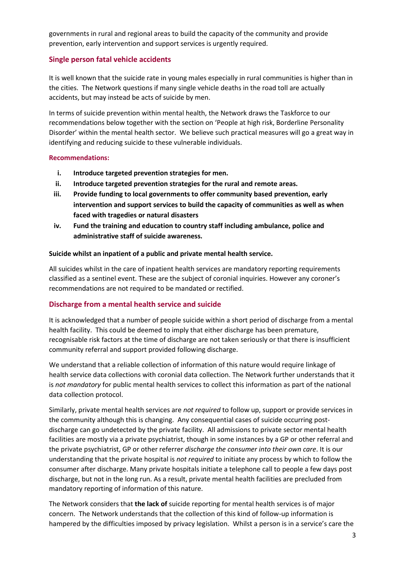governments in rural and regional areas to build the capacity of the community and provide prevention, early intervention and support services is urgently required.

# **Single person fatal vehicle accidents**

It is well known that the suicide rate in young males especially in rural communities is higher than in the cities. The Network questions if many single vehicle deaths in the road toll are actually accidents, but may instead be acts of suicide by men.

In terms of suicide prevention within mental health, the Network draws the Taskforce to our recommendations below together with the section on 'People at high risk, Borderline Personality Disorder' within the mental health sector. We believe such practical measures will go a great way in identifying and reducing suicide to these vulnerable individuals.

#### **Recommendations:**

- **i. Introduce targeted prevention strategies for men.**
- **ii. Introduce targeted prevention strategies for the rural and remote areas.**
- **iii. Provide funding to local governments to offer community based prevention, early intervention and support services to build the capacity of communities as well as when faced with tragedies or natural disasters**
- **iv. Fund the training and education to country staff including ambulance, police and administrative staff of suicide awareness.**

#### **Suicide whilst an inpatient of a public and private mental health service.**

All suicides whilst in the care of inpatient health services are mandatory reporting requirements classified as a sentinel event. These are the subject of coronial inquiries. However any coroner's recommendations are not required to be mandated or rectified.

# **Discharge from a mental health service and suicide**

It is acknowledged that a number of people suicide within a short period of discharge from a mental health facility. This could be deemed to imply that either discharge has been premature, recognisable risk factors at the time of discharge are not taken seriously or that there is insufficient community referral and support provided following discharge.

We understand that a reliable collection of information of this nature would require linkage of health service data collections with coronial data collection. The Network further understands that it is *not mandatory* for public mental health services to collect this information as part of the national data collection protocol.

Similarly, private mental health services are *not required* to follow up, support or provide services in the community although this is changing. Any consequential cases of suicide occurring postdischarge can go undetected by the private facility. All admissions to private sector mental health facilities are mostly via a private psychiatrist, though in some instances by a GP or other referral and the private psychiatrist, GP or other referrer *discharge the consumer into their own care*. It is our understanding that the private hospital is *not required* to initiate any process by which to follow the consumer after discharge. Many private hospitals initiate a telephone call to people a few days post discharge, but not in the long run. As a result, private mental health facilities are precluded from mandatory reporting of information of this nature.

The Network considers that **the lack of** suicide reporting for mental health services is of major concern. The Network understands that the collection of this kind of follow-up information is hampered by the difficulties imposed by privacy legislation. Whilst a person is in a service's care the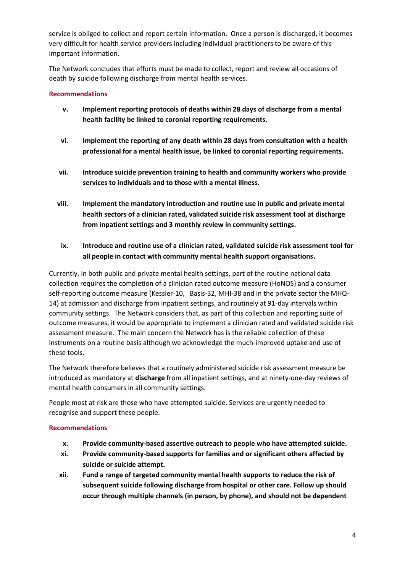service is obliged to collect and report certain information. Once a person is discharged, it becomes very difficult for health service providers including individual practitioners to be aware of this important information.

The Network concludes that efforts must be made to collect, report and review all occasions of death by suicide following discharge from mental health services.

## **Recommendations**

- **v. Implement reporting protocols of deaths within 28 days of discharge from a mental health facility be linked to coronial reporting requirements.**
- **vi. Implement the reporting of any death within 28 days from consultation with a health professional for a mental health issue, be linked to coronial reporting requirements.**
- **vii. Introduce suicide prevention training to health and community workers who provide services to individuals and to those with a mental illness.**
- **viii. Implement the mandatory introduction and routine use in public and private mental health sectors of a clinician rated, validated suicide risk assessment tool at discharge from inpatient settings and 3 monthly review in community settings.**
- **ix. Introduce and routine use of a clinician rated, validated suicide risk assessment tool for all people in contact with community mental health support organisations.**

Currently, in both public and private mental health settings, part of the routine national data collection requires the completion of a clinician rated outcome measure (HoNOS) and a consumer self-reporting outcome measure (Kessler-10, Basis-32, MHI-38 and in the private sector the MHQ-14) at admission and discharge from inpatient settings, and routinely at 91-day intervals within community settings. The Network considers that, as part of this collection and reporting suite of outcome measures, it would be appropriate to implement a clinician rated and validated suicide risk assessment measure. The main concern the Network has is the reliable collection of these instruments on a routine basis although we acknowledge the much-improved uptake and use of these tools.

The Network therefore believes that a routinely administered suicide risk assessment measure be introduced as mandatory at **discharge** from all inpatient settings, and at ninety-one-day reviews of mental health consumers in all community settings.

People most at risk are those who have attempted suicide. Services are urgently needed to recognise and support these people.

## **Recommendations**

- **x. Provide community-based assertive outreach to people who have attempted suicide.**
- **xi. Provide community-based supports for families and or significant others affected by suicide or suicide attempt.**
- **xii. Fund a range of targeted community mental health supports to reduce the risk of subsequent suicide following discharge from hospital or other care. Follow up should occur through multiple channels (in person, by phone), and should not be dependent**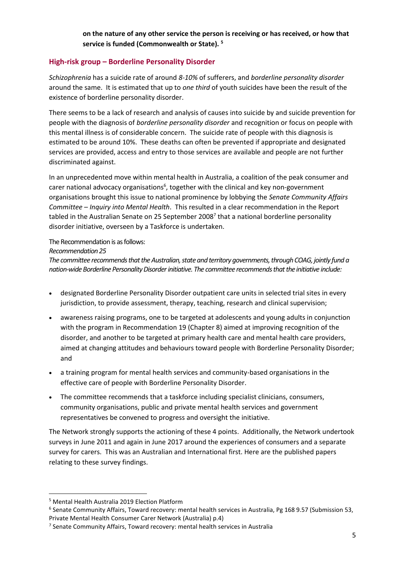**on the nature of any other service the person is receiving or has received, or how that service is funded (Commonwealth or State). <sup>5</sup>**

# **High-risk group – Borderline Personality Disorder**

*Schizophrenia* has a suicide rate of around *8-10%* of sufferers, and *borderline personality disorder*  around the same. It is estimated that up to *one third* of youth suicides have been the result of the existence of borderline personality disorder.

There seems to be a lack of research and analysis of causes into suicide by and suicide prevention for people with the diagnosis of *borderline personality disorder* and recognition or focus on people with this mental illness is of considerable concern. The suicide rate of people with this diagnosis is estimated to be around 10%. These deaths can often be prevented if appropriate and designated services are provided, access and entry to those services are available and people are not further discriminated against.

In an unprecedented move within mental health in Australia, a coalition of the peak consumer and carer national advocacy organisations<sup>6</sup>, together with the clinical and key non-government organisations brought this issue to national prominence by lobbying the *Senate Community Affairs Committee – Inquiry into Mental Health*. This resulted in a clear recommendation in the Report tabled in the Australian Senate on 25 September 2008<sup>7</sup> that a national borderline personality disorder initiative, overseen by a Taskforce is undertaken.

## The Recommendation is as follows:

#### *Recommendation 25*

*The committee recommends that the Australian, state and territory governments, through COAG, jointly fund a nation-wide Borderline Personality Disorder initiative. The committee recommends that the initiative include:*

- designated Borderline Personality Disorder outpatient care units in selected trial sites in every jurisdiction, to provide assessment, therapy, teaching, research and clinical supervision;
- awareness raising programs, one to be targeted at adolescents and young adults in conjunction with the program in Recommendation 19 (Chapter 8) aimed at improving recognition of the disorder, and another to be targeted at primary health care and mental health care providers, aimed at changing attitudes and behaviours toward people with Borderline Personality Disorder; and
- a training program for mental health services and community-based organisations in the effective care of people with Borderline Personality Disorder.
- The committee recommends that a taskforce including specialist clinicians, consumers, community organisations, public and private mental health services and government representatives be convened to progress and oversight the initiative.

The Network strongly supports the actioning of these 4 points. Additionally, the Network undertook surveys in June 2011 and again in June 2017 around the experiences of consumers and a separate survey for carers. This was an Australian and International first. Here are the published papers relating to these survey findings.

<sup>5</sup> Mental Health Australia 2019 Election Platform

<sup>6</sup> Senate Community Affairs, Toward recovery: mental health services in Australia, Pg 168 9.57 (Submission 53, Private Mental Health Consumer Carer Network (Australia) p.4)

<sup>7</sup> Senate Community Affairs, Toward recovery: mental health services in Australia